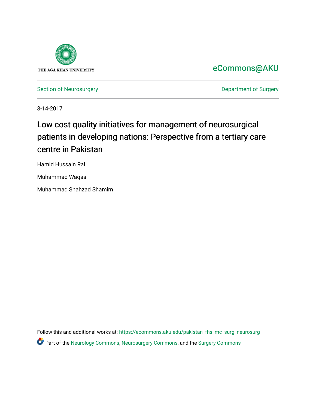

[eCommons@AKU](https://ecommons.aku.edu/) 

[Section of Neurosurgery](https://ecommons.aku.edu/pakistan_fhs_mc_surg_neurosurg) **Department of Surgery** Department of Surgery

3-14-2017

# Low cost quality initiatives for management of neurosurgical patients in developing nations: Perspective from a tertiary care centre in Pakistan

Hamid Hussain Rai

Muhammad Waqas

Muhammad Shahzad Shamim

Follow this and additional works at: [https://ecommons.aku.edu/pakistan\\_fhs\\_mc\\_surg\\_neurosurg](https://ecommons.aku.edu/pakistan_fhs_mc_surg_neurosurg?utm_source=ecommons.aku.edu%2Fpakistan_fhs_mc_surg_neurosurg%2F212&utm_medium=PDF&utm_campaign=PDFCoverPages)  Part of the [Neurology Commons](http://network.bepress.com/hgg/discipline/692?utm_source=ecommons.aku.edu%2Fpakistan_fhs_mc_surg_neurosurg%2F212&utm_medium=PDF&utm_campaign=PDFCoverPages), [Neurosurgery Commons](http://network.bepress.com/hgg/discipline/1428?utm_source=ecommons.aku.edu%2Fpakistan_fhs_mc_surg_neurosurg%2F212&utm_medium=PDF&utm_campaign=PDFCoverPages), and the [Surgery Commons](http://network.bepress.com/hgg/discipline/706?utm_source=ecommons.aku.edu%2Fpakistan_fhs_mc_surg_neurosurg%2F212&utm_medium=PDF&utm_campaign=PDFCoverPages)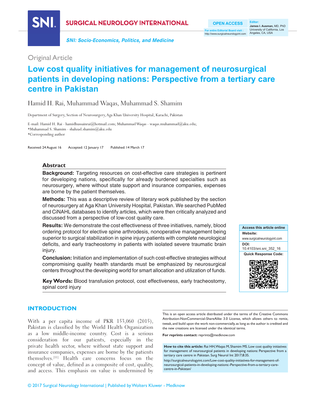

**SURGICAL NEUROLOGY INTERNATIONAL** 

**SNI: Socio-Economics, Politics, and Medicine**

**OPEN ACCESS For entire Editorial Board visit :** http://www.surgicalneurologyint.com University of California, Los Angeles, CA, USA

**Editor: James I. Ausman,** MD, PhD

### Original Article

## **Low cost quality initiatives for management of neurosurgical patients in developing nations: Perspective from a tertiary care centre in Pakistan**

### Hamid H. Rai, Muhammad Waqas, Muhammad S. Shamim

Department of Surgery, Section of Neurosurgery, Aga Khan University Hospital, Karachi, Pakistan

E‑mail: Hamid H. Rai ‑ hamidhussainrai@hotmail.com; Muhammad Waqas ‑ waqas.muhammad@aku.edu; \*Muhammad S. Shamim ‑ shahzad.shamim@aku.edu \*Corresponding author

Received: 24 August 16 Accepted: 12 January 17 Published: 14 March 17

#### **Abstract**

**Background:** Targeting resources on cost-effective care strategies is pertinent for developing nations, specifically for already burdened specialties such as neurosurgery, where without state support and insurance companies, expenses are borne by the patient themselves.

**Methods:** This was a descriptive review of literary work published by the section of neurosurgery at Aga Khan University Hospital, Pakistan. We searched PubMed and CiNAHL databases to identify articles, which were then critically analyzed and discussed from a perspective of low‑cost quality care.

**Results:** We demonstrate the cost effectiveness of three initiatives, namely, blood ordering protocol for elective spine arthrodesis, nonoperative management being superior to surgical stabilization in spine injury patients with complete neurological deficits, and early tracheostomy in patients with isolated severe traumatic brain injury.

**Conclusion:** Initiation and implementation of such cost‑effective strategies without compromising quality health standards must be emphasized by neurosurgical centers throughout the developing world for smart allocation and utilization of funds.

**Key Words:** Blood transfusion protocol, cost effectiveness, early tracheostomy, spinal cord injury



#### **INTRODUCTION**

With a per capita income of PKR 153,060 (2015), Pakistan is classified by the World Health Organization as a low middle‑income country. Cost is a serious consideration for our patients, especially in the private health sector, where without state support and insurance companies, expenses are borne by the patients themselves.[11] Health care concerns focus on the concept of value, defined as a composite of cost, quality, and access. This emphasis on value is undermined by

This is an open access article distributed under the terms of the Creative Commons Attribution-NonCommercial-ShareAlike 3.0 License, which allows others to remix, tweak, and build upon the work non-commercially, as long as the author is credited and the new creations are licensed under the identical terms.

**For reprints contact:** reprints@medknow.com

**How to cite this article:** Rai HH, Waqas M, Shamim MS. Low cost quality initiatives for management of neurosurgical patients in developing nations: Perspective from a tertiary care centre in Pakistan. Surg Neurol Int 2017;8:35.

http://surgicalneurologyint.com/Low-cost-quality-initiatives-for-management-ofneurosurgical-patients-in-developing-nations:-Perspective-from-a-tertiary-carecentre-in-Pakistan/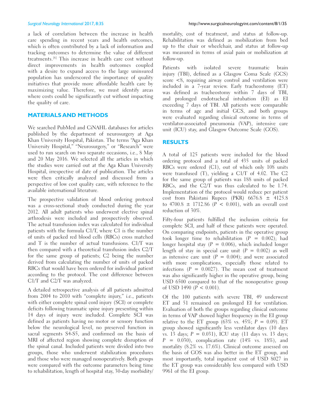a lack of correlation between the increase in health care spending in recent years and health outcomes, which is often contributed by a lack of information and tracking outcomes to determine the value of different treatments.[6] This increase in health care cost without direct improvements in health outcomes coupled with a desire to expand access to the large uninsured population has underscored the importance of quality initiatives that provide more affordable health care by maximizing value. Therefore, we must identify areas where costs could be significantly cut without impacting the quality of care.

#### **MATERIALS AND METHODS**

We searched PubMed and CiNAHL databases for articles published by the department of neurosurgery at Aga Khan University Hospital, Pakistan. The terms "Aga Khan University Hospital," "Neurosurgery," or "Research" were used to run search on two separate occasions, i.e., 8 May and 20 May 2016. We selected all the articles in which the studies were carried out at the Aga Khan University Hospital, irrespective of date of publication. The articles were then critically analyzed and discussed from a perspective of low cost quality care, with reference to the available international literature.

The prospective validation of blood ordering protocol was a cross-sectional study conducted during the year 2012. All adult patients who underwent elective spinal arthrodesis were included and prospectively observed. The actual transfusion index was calculated for individual patients with the formula C1/T, where C1 is the number of units of packed red blood cells (RBCs) cross matched and T is the number of actual transfusions. C1/T was then compared with a theoretical transfusion index C2/T for the same group of patients; C2 being the number derived from calculating the number of units of packed RBCs that would have been ordered for individual patient according to the protocol. The cost difference between C1/T and C2/T was analyzed.

A detailed retrospective analysis of all patients admitted from 2004 to 2010 with "complete injury," i.e., patients with either complete spinal cord injury (SCI) or complete deficits following traumatic spine injury presenting within 14 days of injury were included. Complete SCI was defined as patients having no motor or sensory function below the neurological level, no preserved function in sacral segments S4‑S5, and confirmed on the basis of MRI of affected region showing complete disruption of the spinal canal. Included patients were divided into two groups, those who underwent stabilization procedures and those who were managed nonoperatively. Both groups were compared with the outcome parameters being time to rehabilitation, length of hospital stay, 30‑day morbidity/ mortality, cost of treatment, and status at follow‑up. Rehabilitation was defined as mobilization from bed up to the chair or wheelchair, and status at follow‑up was measured in terms of axial pain or mobilization at follow‑up.

Patients with isolated severe traumatic brain injury (TBI), defined as a Glasgow Coma Scale (GCS) score <8, requiring airway control and ventilation were included in a 7‑year review. Early tracheostomy (ET) was defined as tracheostomy within 7 days of TBI, and prolonged endotracheal intubation (EI) as EI exceeding 7 days of TBI. All patients were comparable in terms of age and initial GCS, and both groups were evaluated regarding clinical outcome in terms of ventilator‑associated pneumonia (VAP), intensive care unit (ICU) stay, and Glasgow Outcome Scale (GOS).

#### **RESULTS**

A total of 125 patients were included for the blood ordering protocol and a total of 435 units of packed RBCs were ordered (C1), out of which only 108 units were transfused (T), yielding a C1/T of 4.02. The C2 for the same group of patients was 188 units of packed RBCs, and the C2/T was thus calculated to be 1.74. Implementation of the protocol would reduce per patient cost from Pakistani Rupees (PKR) 6676.8 ± 4125.8 to 4700.8  $\pm$  1712.86 (P < 0.001), with an overall cost reduction of 30%.

Fifty-four patients fulfilled the inclusion criteria for complete SCI, and half of these patients were operated. On comparing endpoints, patients in the operative group took longer time to rehabilitation  $(P = 0.002)$ ; had longer hospital stay ( $P = 0.006$ ), which included longer length of stay in special care unit  $(P = 0.002)$  as well as intensive care unit  $(P = 0.004)$ ; and were associated with more complications, especially those related to infections  $(P = 0.0027)$ . The mean cost of treatment was also significantly higher in the operative group, being USD 6500 compared to that of the nonoperative group of USD 1490  $(P < 0.001)$ .

Of the 100 patients with severe TBI, 49 underwent ET and 51 remained on prolonged EI for ventilation. Evaluation of both the groups regarding clinical outcome in terms of VAP showed higher frequency in the EI group relative to the ET group (63% vs. 45%;  $P = 0.09$ ). ET group showed significantly less ventilator days (10 days vs. 13 days;  $P = 0.031$ ), ICU stay (11 days vs. 13 days;  $P = 0.030$ , complication rate (14% vs. 18%), and mortality (8.2% vs. 17.6%). Clinical outcome assessed on the basis of GOS was also better in the ET group, and most importantly, total inpatient cost of USD 8027 in the ET group was considerably less compared with USD 9961 of the EI group.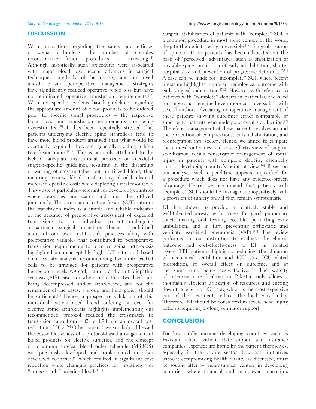#### **DISCUSSION**

With innovations regarding the safety and efficacy of spinal arthrodesis, the number of complex reconstructive fusion procedures is increasing.<sup>[4]</sup> Although historically such procedures were associated with major blood loss, recent advances in surgical techniques, methods of hemostasis, and improved anesthetic and perioperative management strategies have significantly reduced operative blood loss but have not eliminated operative transfusion requirements.[10] With no specific evidence-based guidelines regarding the appropriate amount of blood products to be ordered prior to specific spinal procedures – the respective blood loss and transfusion requirements are being overestimated.[9] It has been repeatedly stressed that patients undergoing elective spine arthrodesis tend to have more blood products arranged than what would be eventually required, therefore, generally yielding a high transfusion index.[9,19] This is primarily attributed to the lack of adequate institutional protocols or anecdotal surgeon-specific guidelines, resulting in the discarding or wasting of cross‑matched but unutilized blood, thus incurring extra workload on often busy blood banks and increased operative costs while depleting a vital resource.[3] This waste is particularly relevant for developing countries where resources are scarce and must be utilized judiciously. The crossmatch to transfusion (C/T) ratio or the transfusion index is a simple and reliable indicator of the accuracy of preoperative assessment of expected transfusions for an individual patient undergoing a particular surgical procedure. Hence, a published audit of our own institution's practices along with preoperative variables that contributed to perioperative transfusion requirements for elective spinal arthrodesis highlighted an unacceptably high C/T ratio and based on univariate analysis, recommending two units packed cells to be arranged for patients with preoperative hemoglobin levels <9 g/dl, trauma, and adult idiopathic scoliosis (AIS) cases, or where more than two levels are being decompressed and/or arthrodesed, and for the remainder of the cases, a group and hold policy should be sufficient.<sup>[1]</sup> Hence, a prospective validation of this individual patient‑based blood ordering protocol for elective spine arthrodesis highlights implementing our recommended protocol reduced the crossmatch to transfusion ratio from 4.02 to 1.74 and an overall cost reduction of 30%.[20] Other papers have similarly addressed the cost-effectiveness of a protocol-based arrangement of blood products for elective surgeries, and the concept of maximum surgical blood order schedule (MSBOS) was previously developed and implemented in other developed countries,[8] which resulted in significant cost reduction while changing practices for "routinely" or "unnecessarily" ordering blood.<sup>[12,14]</sup>

Surgical stabilization of patients with "complete" SCI is a common procedure in most spine centers of the world, despite the deficits being irreversible.<sup>[15]</sup> Surgical fixation of spine in these patients has been advocated on the basis of "perceived" advantages, such as stabilization of unstable spine, promotion of early rehabilitation, shorter hospital stay, and prevention of progressive deformity.<sup>[7,21]</sup> A case can be made for "incomplete" SCI, where recent literature highlights improved neurological outcome with early surgical stabilization.<sup>[5,22]</sup> However, with reference to patients with "complete" deficits in particular, the need for surgery has remained even more controversial,<sup>[13]</sup> with several authors advocating nonoperative management of these patients showing outcomes either comparable or superior to patients who undergo surgical stabilization.<sup>[2]</sup> Therefore, management of these patients revolves around the prevention of complications, early rehabilitation, and re‑integration into society. Hence, we aimed to compare the clinical outcomes and cost-effectiveness of surgical stabilization versus conservative management of spinal injury in patients with complete deficits, essentially from a developing country's point of view.[16] Based on our analysis, such expenditure appears unjustified for a procedure which does not have any evidence-proven advantage. Hence, we recommend that patients with "complete" SCI should be managed nonoperatively with a provision of surgery only if they remain symptomatic.

ET has shown to provide a relatively stable and well-tolerated airway, with access for good pulmonary toilet, making oral feeding possible, permitting early ambulation, and in turn preventing orthostatic and ventilator-associated pneumonia (VAP).<sup>[17]</sup> The review performed in our institution to evaluate the clinical outcome and cost-effectiveness of ET in isolated severe TBI patients highlights reducing the duration of mechanical ventilation and ICU stay, ICU-related morbidities, its overall effect on outcome, and at the same time being cost-effective.<sup>[18]</sup> The scarcity of intensive care facilities in Pakistan only allows a thoroughly efficient utilization of resources and cutting down the length of ICU stay, which is the most expensive part of the treatment, reduces the load considerably. Therefore, ET should be considered in severe head injury patients requiring prolong ventilator support.

#### **CONCLUSION**

For low‑middle income developing countries such as Pakistan, where without state support and insurance companies, expenses are borne by the patient themselves, especially in the private sector. Low cost initiatives without compromising health quality, as discussed, must be sought after by neurosurgical centers in developing countries, where financial and manpower constraints